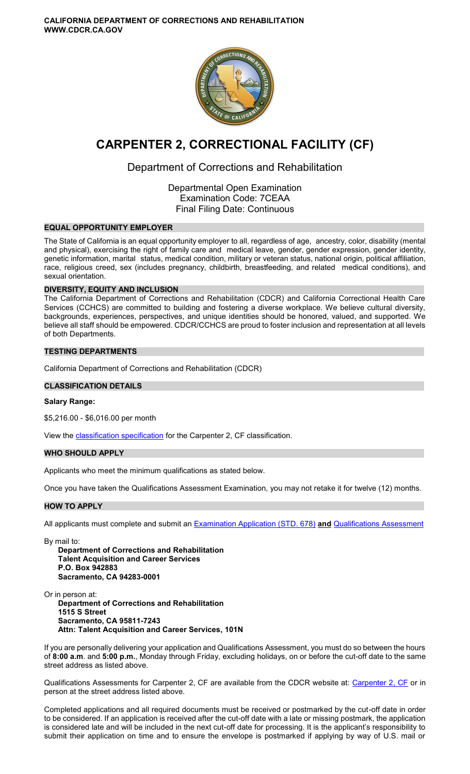**CALIFORNIA DEPARTMENT OF CORRECTIONS AND REHABILITATION WWW.CDCR.CA.GOV** 



# **CARPENTER 2, CORRECTIONAL FACILITY (CF)**

# Department of Corrections and Rehabilitation

Departmental Open Examination Examination Code: 7CEAA Final Filing Date: Continuous

# **EQUAL OPPORTUNITY EMPLOYER**

The State of California is an equal opportunity employer to all, regardless of age, ancestry, color, disability (mental and physical), exercising the right of family care and medical leave, gender, gender expression, gender identity, genetic information, marital status, medical condition, military or veteran status, national origin, political affiliation, race, religious creed, sex (includes pregnancy, childbirth, breastfeeding, and related medical conditions), and sexual orientation.

#### **DIVERSITY, EQUITY AND INCLUSION**

The California Department of Corrections and Rehabilitation (CDCR) and California Correctional Health Care Services (CCHCS) are committed to building and fostering a diverse workplace. We believe cultural diversity, backgrounds, experiences, perspectives, and unique identities should be honored, valued, and supported. We believe all staff should be empowered. CDCR/CCHCS are proud to foster inclusion and representation at all levels of both Departments.

# **TESTING DEPARTMENTS**

California Department of Corrections and Rehabilitation (CDCR)

# **CLASSIFICATION DETAILS**

# **Salary Range:**

\$5,216.00 - \$6,016.00 per month

View the [classification specification](http://www.calhr.ca.gov/state-hr-professionals/pages/6471.aspx) for the Carpenter 2, CF classification.

#### **WHO SHOULD APPLY**

Applicants who meet the minimum qualifications as stated below.

Once you have taken the Qualifications Assessment Examination, you may not retake it for twelve (12) months.

# **HOW TO APPLY**

All applicants must complete and submit an [Examination Application \(STD. 678\)](https://jobs.ca.gov/pdf/STD678.pdf) **and** [Qualifications Assessment](https://www.cdcr.ca.gov/careers/carpenter2cfqa-o-c/) 

By mail to:

**Department of Corrections and Rehabilitation Talent Acquisition and Career Services P.O. Box 942883 Sacramento, CA 94283-0001** 

Or in person at: **Department of Corrections and Rehabilitation 1515 S Street Sacramento, CA 95811-7243 Attn: Talent Acquisition and Career Services, 101N** 

If you are personally delivering your application and Qualifications Assessment, you must do so between the hours of **8:00 a.m**. and **5:00 p.m.**, Monday through Friday, excluding holidays, on or before the cut-off date to the same street address as listed above.

Qualifications Assessments for [Carpenter 2, CF](https://www.cdcr.ca.gov/careers/carpenter2cfqa-o-c/) are available from the CDCR website at: Carpenter 2, CF or in person at the street address listed above.

Completed applications and all required documents must be received or postmarked by the cut-off date in order to be considered. If an application is received after the cut-off date with a late or missing postmark, the application is considered late and will be included in the next cut-off date for processing. It is the applicant's responsibility to submit their application on time and to ensure the envelope is postmarked if applying by way of U.S. mail or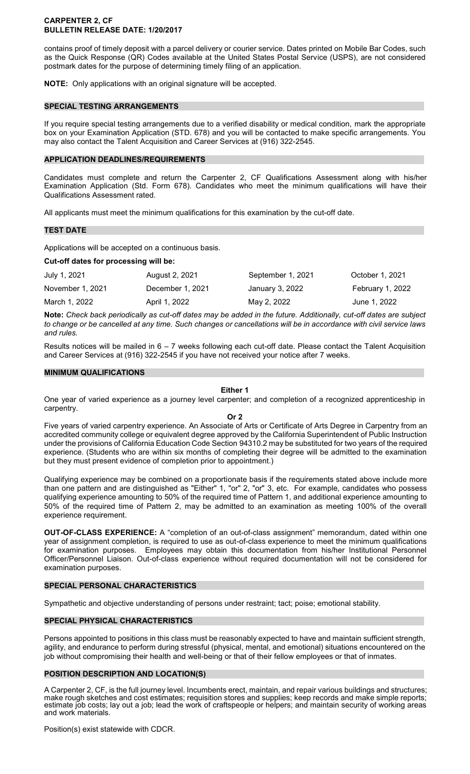#### **CARPENTER 2, CF BULLETIN RELEASE DATE: 1/20/2017**

contains proof of timely deposit with a parcel delivery or courier service. Dates printed on Mobile Bar Codes, such as the Quick Response (QR) Codes available at the United States Postal Service (USPS), are not considered postmark dates for the purpose of determining timely filing of an application.

**NOTE:** Only applications with an original signature will be accepted.

# **SPECIAL TESTING ARRANGEMENTS**

If you require special testing arrangements due to a verified disability or medical condition, mark the appropriate box on your Examination Application (STD. 678) and you will be contacted to make specific arrangements. You may also contact the Talent Acquisition and Career Services at (916) 322-2545.

#### **APPLICATION DEADLINES/REQUIREMENTS**

Candidates must complete and return the Carpenter 2, CF Qualifications Assessment along with his/her Examination Application (Std. Form 678). Candidates who meet the minimum qualifications will have their Qualifications Assessment rated.

All applicants must meet the minimum qualifications for this examination by the cut-off date.

#### **TEST DATE**

Applications will be accepted on a continuous basis.

#### **Cut-off dates for processing will be:**

| July 1, 2021     | August 2, 2021   | September 1, 2021 | October 1, 2021  |
|------------------|------------------|-------------------|------------------|
| November 1, 2021 | December 1, 2021 | January 3, 2022   | February 1, 2022 |
| March 1, 2022    | April 1, 2022    | May 2, 2022       | June 1, 2022     |

**Note:** *Check back periodically as cut-off dates may be added in the future. Additionally, cut-off dates are subject to change or be cancelled at any time. Such changes or cancellations will be in accordance with civil service laws and rules.* 

Results notices will be mailed in 6 – 7 weeks following each cut-off date. Please contact the Talent Acquisition and Career Services at (916) 322-2545 if you have not received your notice after 7 weeks.

#### **MINIMUM QUALIFICATIONS**

#### **Either 1**

One year of varied experience as a journey level carpenter; and completion of a recognized apprenticeship in carpentry.

#### **Or 2**

Five years of varied carpentry experience. An Associate of Arts or Certificate of Arts Degree in Carpentry from an accredited community college or equivalent degree approved by the California Superintendent of Public Instruction under the provisions of California Education Code Section 94310.2 may be substituted for two years of the required experience. (Students who are within six months of completing their degree will be admitted to the examination but they must present evidence of completion prior to appointment.)

Qualifying experience may be combined on a proportionate basis if the requirements stated above include more than one pattern and are distinguished as "Either" 1, "or" 2, "or" 3, etc. For example, candidates who possess qualifying experience amounting to 50% of the required time of Pattern 1, and additional experience amounting to 50% of the required time of Pattern 2, may be admitted to an examination as meeting 100% of the overall experience requirement.

**OUT-OF-CLASS EXPERIENCE:** A "completion of an out-of-class assignment" memorandum, dated within one year of assignment completion, is required to use as out-of-class experience to meet the minimum qualifications for examination purposes. Employees may obtain this documentation from his/her Institutional Personnel Officer/Personnel Liaison. Out-of-class experience without required documentation will not be considered for examination purposes.

# **SPECIAL PERSONAL CHARACTERISTICS**

Sympathetic and objective understanding of persons under restraint; tact; poise; emotional stability.

# **SPECIAL PHYSICAL CHARACTERISTICS**

Persons appointed to positions in this class must be reasonably expected to have and maintain sufficient strength, agility, and endurance to perform during stressful (physical, mental, and emotional) situations encountered on the job without compromising their health and well-being or that of their fellow employees or that of inmates.

# **POSITION DESCRIPTION AND LOCATION(S)**

A Carpenter 2, CF, is the full journey level. Incumbents erect, maintain, and repair various buildings and structures; make rough sketches and cost estimates; requisition stores and supplies; keep records and make simple reports; estimate job costs; lay out a job; lead the work of craftspeople or helpers; and maintain security of working areas and work materials.

Position(s) exist statewide with CDCR.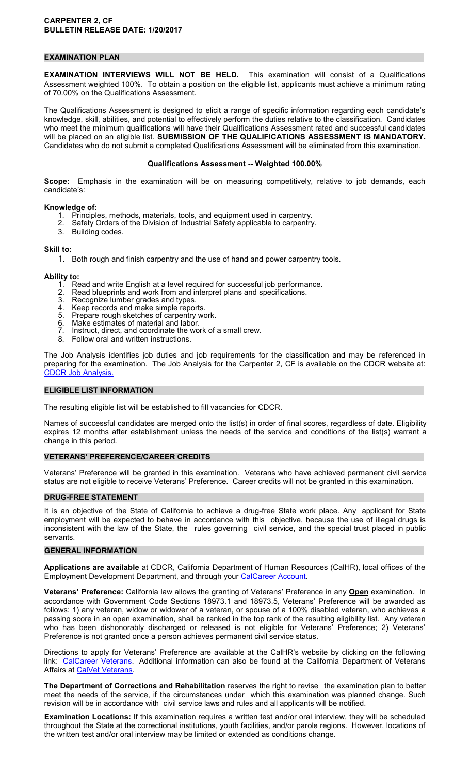# **EXAMINATION PLAN**

**EXAMINATION INTERVIEWS WILL NOT BE HELD.** This examination will consist of a Qualifications Assessment weighted 100%. To obtain a position on the eligible list, applicants must achieve a minimum rating of 70.00% on the Qualifications Assessment.

The Qualifications Assessment is designed to elicit a range of specific information regarding each candidate's knowledge, skill, abilities, and potential to effectively perform the duties relative to the classification. Candidates who meet the minimum qualifications will have their Qualifications Assessment rated and successful candidates will be placed on an eligible list. **SUBMISSION OF THE QUALIFICATIONS ASSESSMENT IS MANDATORY.**  Candidates who do not submit a completed Qualifications Assessment will be eliminated from this examination.

#### **Qualifications Assessment -- Weighted 100.00%**

**Scope:** Emphasis in the examination will be on measuring competitively, relative to job demands, each candidate's:

#### **Knowledge of:**

- 1. Principles, methods, materials, tools, and equipment used in carpentry.<br>2. Safety Orders of the Division of Industrial Safety applicable to carpentry
- Safety Orders of the Division of Industrial Safety applicable to carpentry.
- 3. Building codes.

#### **Skill to:**

1. Both rough and finish carpentry and the use of hand and power carpentry tools.

# Ability to:<br>1. Re

- 1. Read and write English at a level required for successful job performance.
- 2. Read blueprints and work from and interpret plans and specifications.
- 3. Recognize lumber grades and types.
- 4. Keep records and make simple reports.
- 5. Prepare rough sketches of carpentry work.<br>6. Make estimates of material and labor.
- Make estimates of material and labor.
- 7. Instruct, direct, and coordinate the work of a small crew.
- 8. Follow oral and written instructions.

The Job Analysis identifies job duties and job requirements for the classification and may be referenced in preparing for the examination. The Job Analysis for the Carpenter 2, CF is available on the CDCR website at: [CDCR Job Analysis.](https://www.cdcr.ca.gov/Career_Opportunities/HR/OPS/Exams/Analysis/index.html)

# **ELIGIBLE LIST INFORMATION**

The resulting eligible list will be established to fill vacancies for CDCR.

Names of successful candidates are merged onto the list(s) in order of final scores, regardless of date. Eligibility expires 12 months after establishment unless the needs of the service and conditions of the list(s) warrant a change in this period.

#### **VETERANS' PREFERENCE/CAREER CREDITS**

Veterans' Preference will be granted in this examination. Veterans who have achieved permanent civil service status are not eligible to receive Veterans' Preference. Career credits will not be granted in this examination.

# **DRUG-FREE STATEMENT**

It is an objective of the State of California to achieve a drug-free State work place. Any applicant for State employment will be expected to behave in accordance with this objective, because the use of illegal drugs is inconsistent with the law of the State, the rules governing civil service, and the special trust placed in public servants.

#### **GENERAL INFORMATION**

**Applications are available** at CDCR, California Department of Human Resources (CalHR), local offices of the Employment Development Department, and through your [CalCareer Account.](https://www.jobs.ca.gov/)

**Veterans' Preference:** California law allows the granting of Veterans' Preference in any **Open** examination. In accordance with Government Code Sections 18973.1 and 18973.5, Veterans' Preference will be awarded as follows: 1) any veteran, widow or widower of a veteran, or spouse of a 100% disabled veteran, who achieves a passing score in an open examination, shall be ranked in the top rank of the resulting eligibility list. Any veteran who has been dishonorably discharged or released is not eligible for Veterans' Preference; 2) Veterans' Preference is not granted once a person achieves permanent civil service status.

Directions to apply for Veterans' Preference are available at the CalHR's website by clicking on the following link: [CalCareer Veterans.](https://jobs.ca.gov/CalHRPublic/Landing/Veterans.aspx) Additional information can also be found at the California Department of Veterans Affairs at [CalVet Veterans.](http://www.calvet.ca.gov/veteran-services-benefits/employment)

**The Department of Corrections and Rehabilitation** reserves the right to revise the examination plan to better meet the needs of the service, if the circumstances under which this examination was planned change. Such revision will be in accordance with civil service laws and rules and all applicants will be notified.

**Examination Locations:** If this examination requires a written test and/or oral interview, they will be scheduled throughout the State at the correctional institutions, youth facilities, and/or parole regions. However, locations of the written test and/or oral interview may be limited or extended as conditions change.